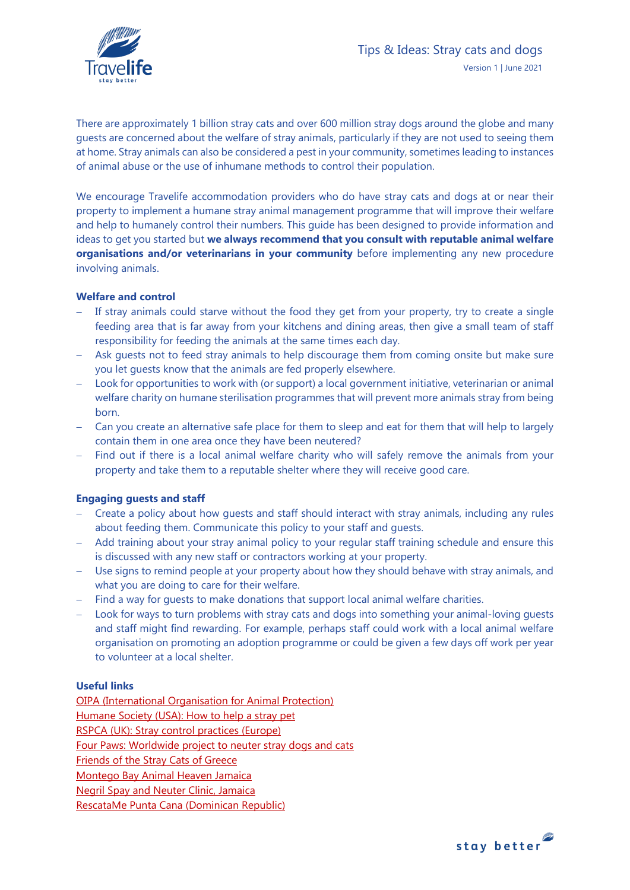

There are approximately 1 billion stray cats and over 600 million stray dogs around the globe and many guests are concerned about the welfare of stray animals, particularly if they are not used to seeing them at home. Stray animals can also be considered a pest in your community, sometimes leading to instances of animal abuse or the use of inhumane methods to control their population.

We encourage Travelife accommodation providers who do have stray cats and dogs at or near their property to implement a humane stray animal management programme that will improve their welfare and help to humanely control their numbers. This guide has been designed to provide information and ideas to get you started but **we always recommend that you consult with reputable animal welfare organisations and/or veterinarians in your community** before implementing any new procedure involving animals.

## **Welfare and control**

- If stray animals could starve without the food they get from your property, try to create a single feeding area that is far away from your kitchens and dining areas, then give a small team of staff responsibility for feeding the animals at the same times each day.
- Ask guests not to feed stray animals to help discourage them from coming onsite but make sure you let guests know that the animals are fed properly elsewhere.
- − Look for opportunities to work with (or support) a local government initiative, veterinarian or animal welfare charity on humane sterilisation programmes that will prevent more animals stray from being born.
- − Can you create an alternative safe place for them to sleep and eat for them that will help to largely contain them in one area once they have been neutered?
- − Find out if there is a local animal welfare charity who will safely remove the animals from your property and take them to a reputable shelter where they will receive good care.

## **Engaging guests and staff**

- − Create a policy about how guests and staff should interact with stray animals, including any rules about feeding them. Communicate this policy to your staff and guests.
- − Add training about your stray animal policy to your regular staff training schedule and ensure this is discussed with any new staff or contractors working at your property.
- − Use signs to remind people at your property about how they should behave with stray animals, and what you are doing to care for their welfare.
- − Find a way for guests to make donations that support local animal welfare charities.
- − Look for ways to turn problems with stray cats and dogs into something your animal-loving guests and staff might find rewarding. For example, perhaps staff could work with a local animal welfare organisation on promoting an adoption programme or could be given a few days off work per year to volunteer at a local shelter.

## **Useful links**

[OIPA \(International Organisation for Animal Protection\)](https://www.oipa.org/international/oipa-in-the-world/) [Humane Society \(USA\): How to help a stray pet](https://www.humanesociety.org/resources/how-help-stray-pet) [RSPCA \(UK\): Stray control practices \(Europe\)](http://www.stray-afp.org/nl/wp-content/uploads/2012/09/WSPA-RSPCA-International-stray-control-practices-in-Europe-2006-2007.pdf) [Four Paws: Worldwide project to neuter stray dogs and cats](https://www.four-paws.us/campaigns-topics/topics/companion-animals/four-paws-stray-animal-care) [Friends of the Stray Cats of Greece](https://www.straysofgreece.org/) [Montego Bay Animal Heaven Jamaica](https://www.montegobayanimalhaven.com/)  [Negril Spay and Neuter Clinic, Jamaica](https://www.negrilspayneuter.com/) [RescataMe Punta Cana \(Dominican Republic\)](https://www.rescatame.org/)